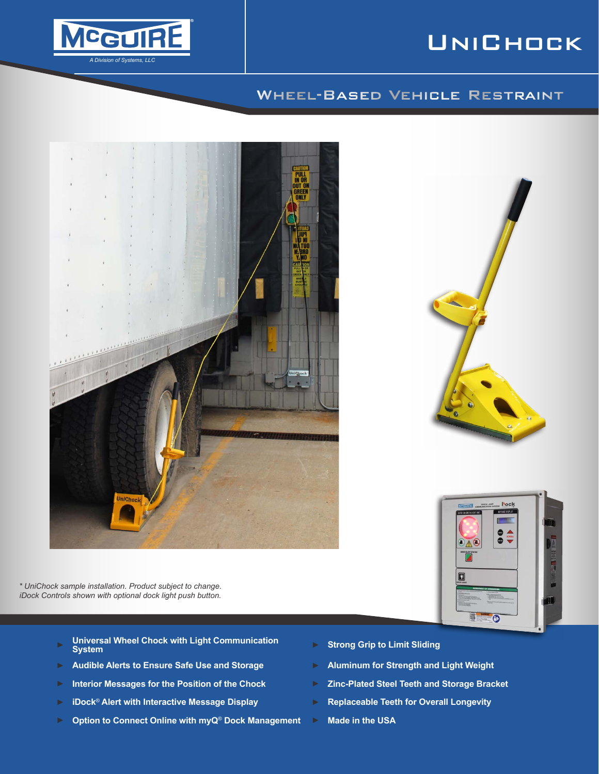# **MCGUIRE** *Division of Systems, LLC*

# **UNICHOCK**

**Docl** 

 $\bullet$  $\frac{1}{\sqrt{2}}$ 

8  $\bullet$ 

## Wheel-Based Vehicle Restraint



*\* UniChock sample installation. Product subject to change. iDock Controls shown with optional dock light push button.*

- ► **Universal Wheel Chock with Light Communication**
- ► **Audible Alerts to Ensure Safe Use and Storage** ► **Aluminum for Strength and Light Weight**
- ► **Interior Messages for the Position of the Chock** ► **Zinc-Plated Steel Teeth and Storage Bracket**
- ► **iDock**® **Alert with Interactive Message Display** ► **Replaceable Teeth for Overall Longevity**
- ► **Option to Connect Online with myQ**® **Dock Management** ► **Made in the USA**
- **System** ► **Strong Grip to Limit Sliding**
- 
- 
- -